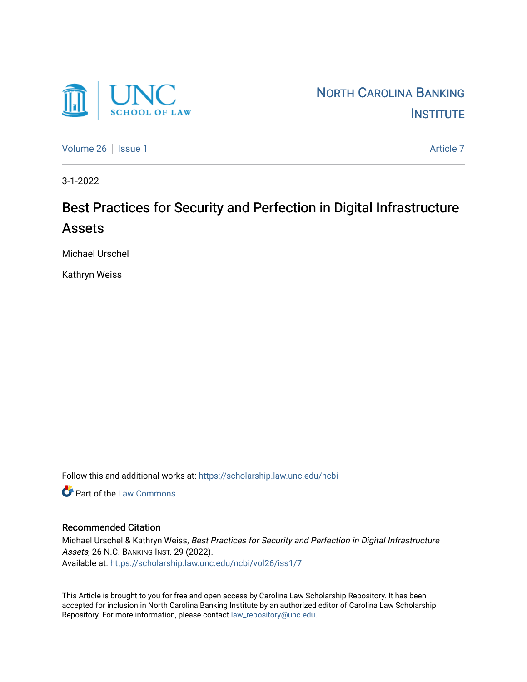

[Volume 26](https://scholarship.law.unc.edu/ncbi/vol26) | [Issue 1](https://scholarship.law.unc.edu/ncbi/vol26/iss1) [Article 7](https://scholarship.law.unc.edu/ncbi/vol26/iss1/7) Article 7 Article 7 Article 7 Article 7 Article 7 Article 7

3-1-2022

# Best Practices for Security and Perfection in Digital Infrastructure Assets

Michael Urschel

Kathryn Weiss

Follow this and additional works at: [https://scholarship.law.unc.edu/ncbi](https://scholarship.law.unc.edu/ncbi?utm_source=scholarship.law.unc.edu%2Fncbi%2Fvol26%2Fiss1%2F7&utm_medium=PDF&utm_campaign=PDFCoverPages)

**C** Part of the [Law Commons](https://network.bepress.com/hgg/discipline/578?utm_source=scholarship.law.unc.edu%2Fncbi%2Fvol26%2Fiss1%2F7&utm_medium=PDF&utm_campaign=PDFCoverPages)

## Recommended Citation

Michael Urschel & Kathryn Weiss, Best Practices for Security and Perfection in Digital Infrastructure Assets, 26 N.C. BANKING INST. 29 (2022). Available at: [https://scholarship.law.unc.edu/ncbi/vol26/iss1/7](https://scholarship.law.unc.edu/ncbi/vol26/iss1/7?utm_source=scholarship.law.unc.edu%2Fncbi%2Fvol26%2Fiss1%2F7&utm_medium=PDF&utm_campaign=PDFCoverPages) 

This Article is brought to you for free and open access by Carolina Law Scholarship Repository. It has been accepted for inclusion in North Carolina Banking Institute by an authorized editor of Carolina Law Scholarship Repository. For more information, please contact [law\\_repository@unc.edu](mailto:law_repository@unc.edu).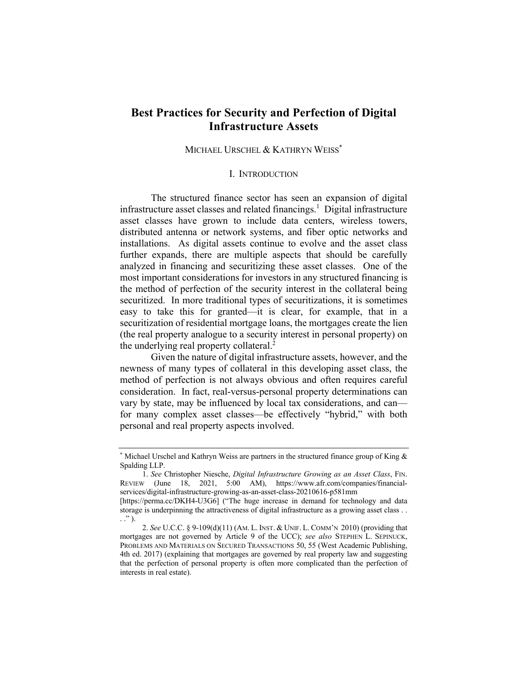## **Best Practices for Security and Perfection of Digital Infrastructure Assets**

#### MICHAEL URSCHEL & KATHRYN WEISS<sup>\*</sup>

#### I. INTRODUCTION

The structured finance sector has seen an expansion of digital infrastructure asset classes and related financings.<sup>1</sup> Digital infrastructure asset classes have grown to include data centers, wireless towers, distributed antenna or network systems, and fiber optic networks and installations. As digital assets continue to evolve and the asset class further expands, there are multiple aspects that should be carefully analyzed in financing and securitizing these asset classes. One of the most important considerations for investors in any structured financing is the method of perfection of the security interest in the collateral being securitized. In more traditional types of securitizations, it is sometimes easy to take this for granted—it is clear, for example, that in a securitization of residential mortgage loans, the mortgages create the lien (the real property analogue to a security interest in personal property) on the underlying real property collateral.<sup>2</sup>

Given the nature of digital infrastructure assets, however, and the newness of many types of collateral in this developing asset class, the method of perfection is not always obvious and often requires careful consideration. In fact, real-versus-personal property determinations can vary by state, may be influenced by local tax considerations, and can for many complex asset classes—be effectively "hybrid," with both personal and real property aspects involved.

<sup>\*</sup> Michael Urschel and Kathryn Weiss are partners in the structured finance group of King & Spalding LLP.

<sup>1.</sup> *See* Christopher Niesche, *Digital Infrastructure Growing as an Asset Class*, FIN. REVIEW (June 18, 2021, 5:00 AM), https://www.afr.com/companies/financialservices/digital-infrastructure-growing-as-an-asset-class-20210616-p581mm [https://perma.cc/DKH4-U3G6] ("The huge increase in demand for technology and data

storage is underpinning the attractiveness of digital infrastructure as a growing asset class . .  $\ldots$ " ).

<sup>2.</sup> *See* U.C.C. § 9-109(d)(11) (AM. L. INST. & UNIF. L. COMM'N 2010) (providing that mortgages are not governed by Article 9 of the UCC); *see also* STEPHEN L. SEPINUCK, PROBLEMS AND MATERIALS ON SECURED TRANSACTIONS 50, 55 (West Academic Publishing, 4th ed. 2017) (explaining that mortgages are governed by real property law and suggesting that the perfection of personal property is often more complicated than the perfection of interests in real estate).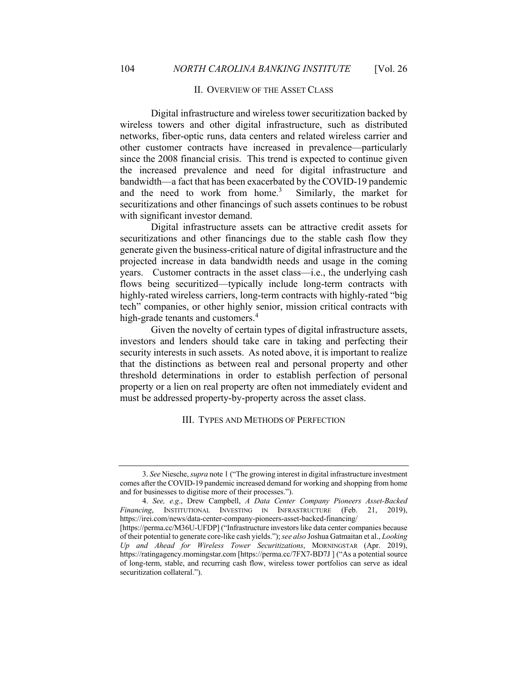#### II. OVERVIEW OF THE ASSET CLASS

Digital infrastructure and wireless tower securitization backed by wireless towers and other digital infrastructure, such as distributed networks, fiber-optic runs, data centers and related wireless carrier and other customer contracts have increased in prevalence—particularly since the 2008 financial crisis. This trend is expected to continue given the increased prevalence and need for digital infrastructure and bandwidth—a fact that has been exacerbated by the COVID-19 pandemic and the need to work from home.<sup>3</sup> Similarly, the market for securitizations and other financings of such assets continues to be robust with significant investor demand.

Digital infrastructure assets can be attractive credit assets for securitizations and other financings due to the stable cash flow they generate given the business-critical nature of digital infrastructure and the projected increase in data bandwidth needs and usage in the coming years. Customer contracts in the asset class—i.e., the underlying cash flows being securitized—typically include long-term contracts with highly-rated wireless carriers, long-term contracts with highly-rated "big tech" companies, or other highly senior, mission critical contracts with high-grade tenants and customers.<sup>4</sup>

Given the novelty of certain types of digital infrastructure assets, investors and lenders should take care in taking and perfecting their security interests in such assets. As noted above, it is important to realize that the distinctions as between real and personal property and other threshold determinations in order to establish perfection of personal property or a lien on real property are often not immediately evident and must be addressed property-by-property across the asset class.

#### III. TYPES AND METHODS OF PERFECTION

<sup>3.</sup> *See* Niesche, *supra* note 1 ("The growing interest in digital infrastructure investment comes after the COVID-19 pandemic increased demand for working and shopping from home and for businesses to digitise more of their processes.").

<sup>4.</sup> *See, e.g*., Drew Campbell, *A Data Center Company Pioneers Asset-Backed Financing*, INSTITUTIONAL INVESTING IN INFRASTRUCTURE (Feb. 21, 2019), https://irei.com/news/data-center-company-pioneers-asset-backed-financing/

<sup>[</sup>https://perma.cc/M36U-UFDP] ("Infrastructure investors like data center companies because of their potential to generate core-like cash yields."); *see also* Joshua Gatmaitan et al., *Looking Up and Ahead for Wireless Tower Securitizations*, MORNINGSTAR (Apr. 2019), https://ratingagency.morningstar.com [https://perma.cc/7FX7-BD7J ] ("As a potential source of long-term, stable, and recurring cash flow, wireless tower portfolios can serve as ideal securitization collateral.").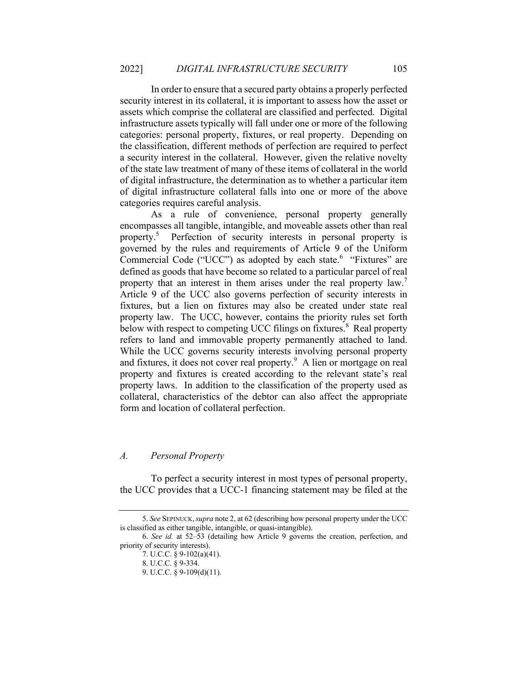In order to ensure that a secured party obtains a properly perfected security interest in its collateral, it is important to assess how the asset or assets which comprise the collateral are classified and perfected. Digital infrastructure assets typically will fall under one or more of the following categories: personal property, fixtures, or real property. Depending on the classification, different methods of perfection are required to perfect a security interest in the collateral. However, given the relative novelty of the state law treatment of many of these items of collateral in the world of digital infrastructure, the determination as to whether a particular item of digital infrastructure collateral falls into one or more of the above categories requires careful analysis.

As a rule of convenience, personal property generally encompasses all tangible, intangible, and moveable assets other than real property.5 Perfection of security interests in personal property is governed by the rules and requirements of Article 9 of the Uniform Commercial Code ("UCC") as adopted by each state.<sup>6</sup> "Fixtures" are defined as goods that have become so related to a particular parcel of real property that an interest in them arises under the real property law.<sup>7</sup> Article 9 of the UCC also governs perfection of security interests in fixtures, but a lien on fixtures may also be created under state real property law. The UCC, however, contains the priority rules set forth below with respect to competing UCC filings on fixtures.<sup>8</sup> Real property refers to land and immovable property permanently attached to land. While the UCC governs security interests involving personal property and fixtures, it does not cover real property.<sup>9</sup> A lien or mortgage on real property and fixtures is created according to the relevant state's real property laws. In addition to the classification of the property used as collateral, characteristics of the debtor can also affect the appropriate form and location of collateral perfection.

#### *A. Personal Property*

To perfect a security interest in most types of personal property, the UCC provides that a UCC-1 financing statement may be filed at the

<sup>5.</sup> *See* SEPINUCK,*supra* note 2, at 62 (describing how personal property under the UCC is classified as either tangible, intangible, or quasi-intangible).

<sup>6.</sup> *See id.* at 52–53 (detailing how Article 9 governs the creation, perfection, and priority of security interests).

<sup>7.</sup> U.C.C. § 9-102(a)(41).

<sup>8.</sup> U.C.C. § 9-334.

<sup>9.</sup> U.C.C. § 9-109(d)(11).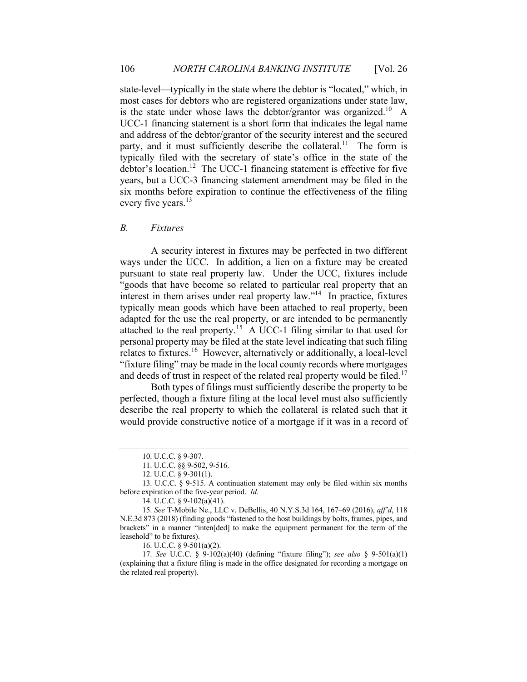state-level—typically in the state where the debtor is "located," which, in most cases for debtors who are registered organizations under state law, is the state under whose laws the debtor/grantor was organized.<sup>10</sup> A UCC-1 financing statement is a short form that indicates the legal name and address of the debtor/grantor of the security interest and the secured party, and it must sufficiently describe the collateral.<sup>11</sup> The form is typically filed with the secretary of state's office in the state of the debtor's location.<sup>12</sup> The UCC-1 financing statement is effective for five years, but a UCC-3 financing statement amendment may be filed in the six months before expiration to continue the effectiveness of the filing every five years.<sup>13</sup>

#### *B. Fixtures*

A security interest in fixtures may be perfected in two different ways under the UCC. In addition, a lien on a fixture may be created pursuant to state real property law. Under the UCC, fixtures include "goods that have become so related to particular real property that an interest in them arises under real property law."14 In practice, fixtures typically mean goods which have been attached to real property, been adapted for the use the real property, or are intended to be permanently attached to the real property.<sup>15</sup> A UCC-1 filing similar to that used for personal property may be filed at the state level indicating that such filing relates to fixtures.<sup>16</sup> However, alternatively or additionally, a local-level "fixture filing" may be made in the local county records where mortgages and deeds of trust in respect of the related real property would be filed.<sup>17</sup>

Both types of filings must sufficiently describe the property to be perfected, though a fixture filing at the local level must also sufficiently describe the real property to which the collateral is related such that it would provide constructive notice of a mortgage if it was in a record of

14. U.C.C. § 9-102(a)(41).

<sup>10.</sup> U.C.C. § 9-307.

<sup>11.</sup> U.C.C. §§ 9-502, 9-516.

<sup>12.</sup> U.C.C. § 9-301(1).

<sup>13.</sup> U.C.C. § 9-515. A continuation statement may only be filed within six months before expiration of the five-year period. *Id.*

<sup>15.</sup> *See* T-Mobile Ne., LLC v. DeBellis, 40 N.Y.S.3d 164, 167–69 (2016), *aff'd*, 118 N.E.3d 873 (2018) (finding goods "fastened to the host buildings by bolts, frames, pipes, and brackets" in a manner "inten[ded] to make the equipment permanent for the term of the leasehold" to be fixtures).

<sup>16.</sup> U.C.C. § 9-501(a)(2).

<sup>17.</sup> *See* U.C.C. § 9-102(a)(40) (defining "fixture filing"); *see also* § 9-501(a)(1) (explaining that a fixture filing is made in the office designated for recording a mortgage on the related real property).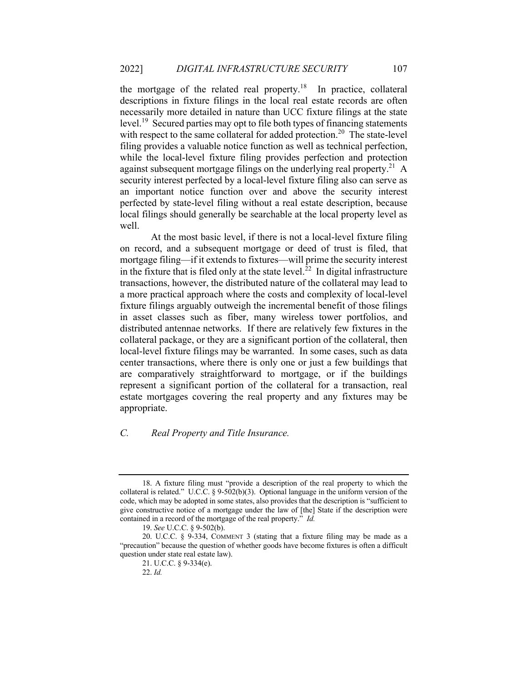the mortgage of the related real property.<sup>18</sup> In practice, collateral descriptions in fixture filings in the local real estate records are often necessarily more detailed in nature than UCC fixture filings at the state level.19 Secured parties may opt to file both types of financing statements with respect to the same collateral for added protection.<sup>20</sup> The state-level filing provides a valuable notice function as well as technical perfection, while the local-level fixture filing provides perfection and protection against subsequent mortgage filings on the underlying real property.<sup>21</sup> A security interest perfected by a local-level fixture filing also can serve as an important notice function over and above the security interest perfected by state-level filing without a real estate description, because local filings should generally be searchable at the local property level as well.

At the most basic level, if there is not a local-level fixture filing on record, and a subsequent mortgage or deed of trust is filed, that mortgage filing—if it extends to fixtures—will prime the security interest in the fixture that is filed only at the state level.<sup>22</sup> In digital infrastructure transactions, however, the distributed nature of the collateral may lead to a more practical approach where the costs and complexity of local-level fixture filings arguably outweigh the incremental benefit of those filings in asset classes such as fiber, many wireless tower portfolios, and distributed antennae networks. If there are relatively few fixtures in the collateral package, or they are a significant portion of the collateral, then local-level fixture filings may be warranted. In some cases, such as data center transactions, where there is only one or just a few buildings that are comparatively straightforward to mortgage, or if the buildings represent a significant portion of the collateral for a transaction, real estate mortgages covering the real property and any fixtures may be appropriate.

## *C. Real Property and Title Insurance.*

<sup>18.</sup> A fixture filing must "provide a description of the real property to which the collateral is related." U.C.C. § 9-502(b)(3). Optional language in the uniform version of the code, which may be adopted in some states, also provides that the description is "sufficient to give constructive notice of a mortgage under the law of [the] State if the description were contained in a record of the mortgage of the real property." *Id.*

<sup>19.</sup> *See* U.C.C. § 9-502(b).

<sup>20.</sup> U.C.C. § 9-334, COMMENT 3 (stating that a fixture filing may be made as a "precaution" because the question of whether goods have become fixtures is often a difficult question under state real estate law).

<sup>21.</sup> U.C.C. § 9-334(e).

<sup>22.</sup> *Id.*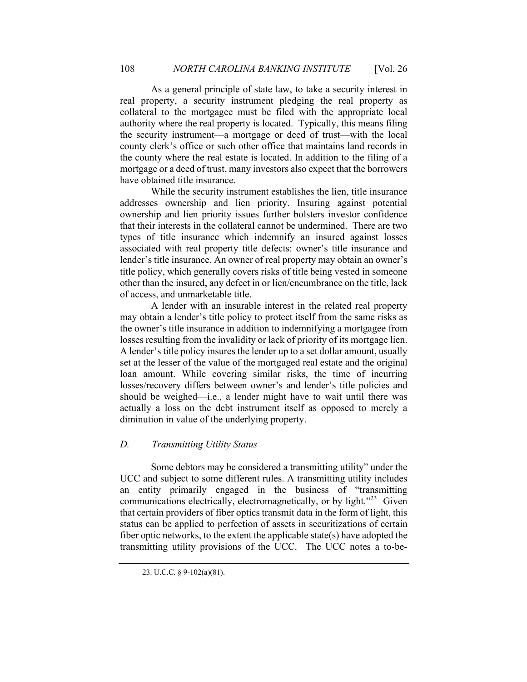As a general principle of state law, to take a security interest in real property, a security instrument pledging the real property as collateral to the mortgagee must be filed with the appropriate local authority where the real property is located. Typically, this means filing the security instrument—a mortgage or deed of trust—with the local county clerk's office or such other office that maintains land records in the county where the real estate is located. In addition to the filing of a mortgage or a deed of trust, many investors also expect that the borrowers have obtained title insurance.

While the security instrument establishes the lien, title insurance addresses ownership and lien priority. Insuring against potential ownership and lien priority issues further bolsters investor confidence that their interests in the collateral cannot be undermined. There are two types of title insurance which indemnify an insured against losses associated with real property title defects: owner's title insurance and lender's title insurance. An owner of real property may obtain an owner's title policy, which generally covers risks of title being vested in someone other than the insured, any defect in or lien/encumbrance on the title, lack of access, and unmarketable title.

A lender with an insurable interest in the related real property may obtain a lender's title policy to protect itself from the same risks as the owner's title insurance in addition to indemnifying a mortgagee from losses resulting from the invalidity or lack of priority of its mortgage lien. A lender's title policy insures the lender up to a set dollar amount, usually set at the lesser of the value of the mortgaged real estate and the original loan amount. While covering similar risks, the time of incurring losses/recovery differs between owner's and lender's title policies and should be weighed—i.e., a lender might have to wait until there was actually a loss on the debt instrument itself as opposed to merely a diminution in value of the underlying property.

## *D. Transmitting Utility Status*

Some debtors may be considered a transmitting utility" under the UCC and subject to some different rules. A transmitting utility includes an entity primarily engaged in the business of "transmitting communications electrically, electromagnetically, or by light."<sup>23</sup> Given that certain providers of fiber optics transmit data in the form of light, this status can be applied to perfection of assets in securitizations of certain fiber optic networks, to the extent the applicable state(s) have adopted the transmitting utility provisions of the UCC. The UCC notes a to-be-

<sup>23.</sup> U.C.C. § 9-102(a)(81).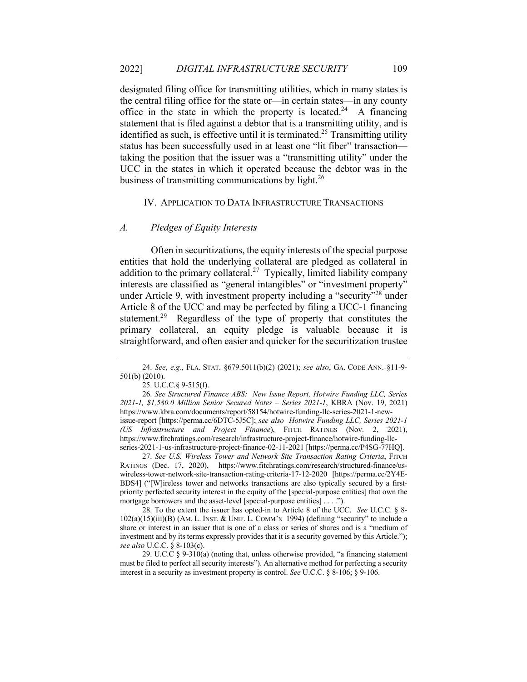designated filing office for transmitting utilities, which in many states is the central filing office for the state or—in certain states—in any county office in the state in which the property is located.<sup>24</sup> A financing statement that is filed against a debtor that is a transmitting utility, and is identified as such, is effective until it is terminated.<sup>25</sup> Transmitting utility status has been successfully used in at least one "lit fiber" transaction taking the position that the issuer was a "transmitting utility" under the UCC in the states in which it operated because the debtor was in the business of transmitting communications by light.<sup>26</sup>

#### IV. APPLICATION TO DATA INFRASTRUCTURE TRANSACTIONS

#### *A. Pledges of Equity Interests*

Often in securitizations, the equity interests of the special purpose entities that hold the underlying collateral are pledged as collateral in addition to the primary collateral.<sup>27</sup> Typically, limited liability company interests are classified as "general intangibles" or "investment property" under Article 9, with investment property including a "security"<sup>28</sup> under Article 8 of the UCC and may be perfected by filing a UCC-1 financing statement.<sup>29</sup> Regardless of the type of property that constitutes the primary collateral, an equity pledge is valuable because it is straightforward, and often easier and quicker for the securitization trustee

27. *See U.S. Wireless Tower and Network Site Transaction Rating Criteria*, FITCH RATINGS (Dec. 17, 2020), https://www.fitchratings.com/research/structured-finance/uswireless-tower-network-site-transaction-rating-criteria-17-12-2020 [https://perma.cc/2Y4E-BDS4] ("[W]ireless tower and networks transactions are also typically secured by a firstpriority perfected security interest in the equity of the [special-purpose entities] that own the mortgage borrowers and the asset-level [special-purpose entities] . . . .").

28. To the extent the issuer has opted-in to Article 8 of the UCC. *See* U.C.C. § 8-  $102(a)(15)(iii)(B)$  (AM. L. INST. & UNIF. L. COMM'N 1994) (defining "security" to include a share or interest in an issuer that is one of a class or series of shares and is a "medium of investment and by its terms expressly provides that it is a security governed by this Article."); *see also* U.C.C. § 8-103(c).

29. U.C.C § 9-310(a) (noting that, unless otherwise provided, "a financing statement must be filed to perfect all security interests"). An alternative method for perfecting a security interest in a security as investment property is control. *See* U.C.C. § 8-106; § 9-106.

<sup>24.</sup> *See*, *e.g.*, FLA. STAT. §679.5011(b)(2) (2021); *see also*, GA. CODE ANN. §11-9- 501(b) (2010).

<sup>25.</sup> U.C.C.§ 9-515(f).

<sup>26.</sup> *See Structured Finance ABS: New Issue Report, Hotwire Funding LLC, Series 2021-1, \$1,580.0 Million Senior Secured Notes – Series 2021-1*, KBRA (Nov. 19, 2021) https://www.kbra.com/documents/report/58154/hotwire-funding-llc-series-2021-1-newissue-report [https://perma.cc/6DTC-5J5C]; *see also Hotwire Funding LLC, Series 2021-1 (US Infrastructure and Project Finance*), FITCH RATINGS (Nov. 2, 2021), https://www.fitchratings.com/research/infrastructure-project-finance/hotwire-funding-llcseries-2021-1-us-infrastructure-project-finance-02-11-2021 [https://perma.cc/P4SG-77HQ].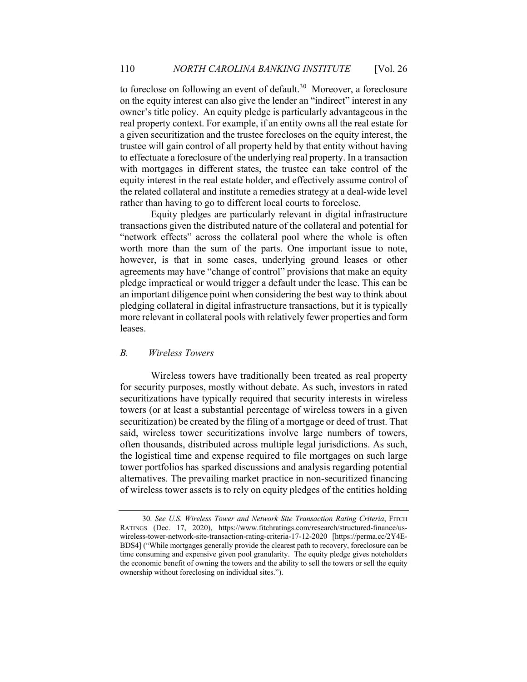to foreclose on following an event of default.<sup>30</sup> Moreover, a foreclosure on the equity interest can also give the lender an "indirect" interest in any owner's title policy. An equity pledge is particularly advantageous in the real property context. For example, if an entity owns all the real estate for a given securitization and the trustee forecloses on the equity interest, the trustee will gain control of all property held by that entity without having to effectuate a foreclosure of the underlying real property. In a transaction with mortgages in different states, the trustee can take control of the equity interest in the real estate holder, and effectively assume control of the related collateral and institute a remedies strategy at a deal-wide level rather than having to go to different local courts to foreclose.

Equity pledges are particularly relevant in digital infrastructure transactions given the distributed nature of the collateral and potential for "network effects" across the collateral pool where the whole is often worth more than the sum of the parts. One important issue to note, however, is that in some cases, underlying ground leases or other agreements may have "change of control" provisions that make an equity pledge impractical or would trigger a default under the lease. This can be an important diligence point when considering the best way to think about pledging collateral in digital infrastructure transactions, but it is typically more relevant in collateral pools with relatively fewer properties and form leases.

#### *B. Wireless Towers*

Wireless towers have traditionally been treated as real property for security purposes, mostly without debate. As such, investors in rated securitizations have typically required that security interests in wireless towers (or at least a substantial percentage of wireless towers in a given securitization) be created by the filing of a mortgage or deed of trust. That said, wireless tower securitizations involve large numbers of towers, often thousands, distributed across multiple legal jurisdictions. As such, the logistical time and expense required to file mortgages on such large tower portfolios has sparked discussions and analysis regarding potential alternatives. The prevailing market practice in non-securitized financing of wireless tower assets is to rely on equity pledges of the entities holding

<sup>30.</sup> *See U.S. Wireless Tower and Network Site Transaction Rating Criteria*, FITCH RATINGS (Dec. 17, 2020), https://www.fitchratings.com/research/structured-finance/uswireless-tower-network-site-transaction-rating-criteria-17-12-2020 [https://perma.cc/2Y4E-BDS4] ("While mortgages generally provide the clearest path to recovery, foreclosure can be time consuming and expensive given pool granularity. The equity pledge gives noteholders the economic benefit of owning the towers and the ability to sell the towers or sell the equity ownership without foreclosing on individual sites.").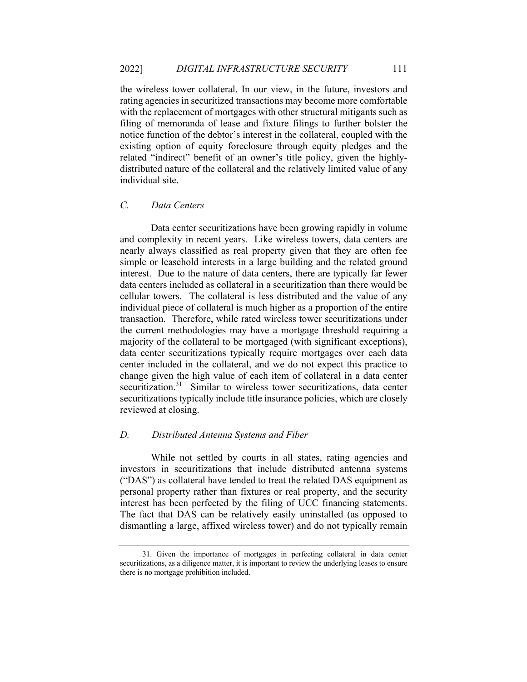the wireless tower collateral. In our view, in the future, investors and rating agencies in securitized transactions may become more comfortable with the replacement of mortgages with other structural mitigants such as filing of memoranda of lease and fixture filings to further bolster the notice function of the debtor's interest in the collateral, coupled with the existing option of equity foreclosure through equity pledges and the related "indirect" benefit of an owner's title policy, given the highlydistributed nature of the collateral and the relatively limited value of any individual site.

## *C. Data Centers*

Data center securitizations have been growing rapidly in volume and complexity in recent years. Like wireless towers, data centers are nearly always classified as real property given that they are often fee simple or leasehold interests in a large building and the related ground interest. Due to the nature of data centers, there are typically far fewer data centers included as collateral in a securitization than there would be cellular towers. The collateral is less distributed and the value of any individual piece of collateral is much higher as a proportion of the entire transaction. Therefore, while rated wireless tower securitizations under the current methodologies may have a mortgage threshold requiring a majority of the collateral to be mortgaged (with significant exceptions), data center securitizations typically require mortgages over each data center included in the collateral, and we do not expect this practice to change given the high value of each item of collateral in a data center securitization.<sup>31</sup> Similar to wireless tower securitizations, data center securitizations typically include title insurance policies, which are closely reviewed at closing.

#### *D. Distributed Antenna Systems and Fiber*

While not settled by courts in all states, rating agencies and investors in securitizations that include distributed antenna systems ("DAS") as collateral have tended to treat the related DAS equipment as personal property rather than fixtures or real property, and the security interest has been perfected by the filing of UCC financing statements. The fact that DAS can be relatively easily uninstalled (as opposed to dismantling a large, affixed wireless tower) and do not typically remain

<sup>31.</sup> Given the importance of mortgages in perfecting collateral in data center securitizations, as a diligence matter, it is important to review the underlying leases to ensure there is no mortgage prohibition included.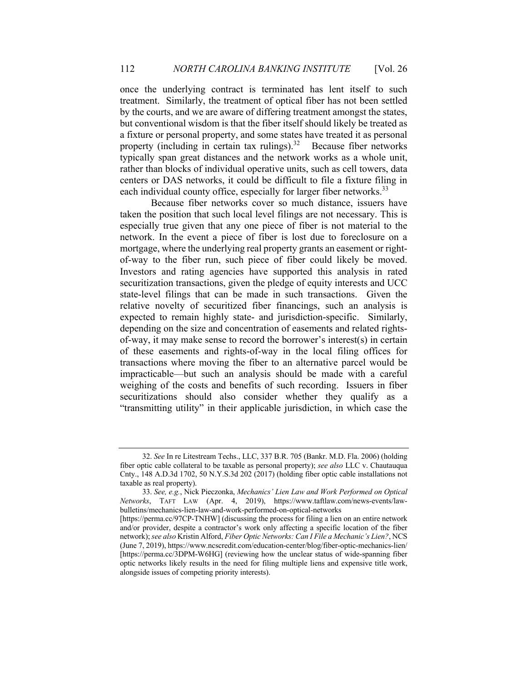once the underlying contract is terminated has lent itself to such treatment. Similarly, the treatment of optical fiber has not been settled by the courts, and we are aware of differing treatment amongst the states, but conventional wisdom is that the fiber itself should likely be treated as a fixture or personal property, and some states have treated it as personal property (including in certain tax rulings).<sup>32</sup> Because fiber networks typically span great distances and the network works as a whole unit, rather than blocks of individual operative units, such as cell towers, data centers or DAS networks, it could be difficult to file a fixture filing in each individual county office, especially for larger fiber networks.<sup>33</sup>

Because fiber networks cover so much distance, issuers have taken the position that such local level filings are not necessary. This is especially true given that any one piece of fiber is not material to the network. In the event a piece of fiber is lost due to foreclosure on a mortgage, where the underlying real property grants an easement or rightof-way to the fiber run, such piece of fiber could likely be moved. Investors and rating agencies have supported this analysis in rated securitization transactions, given the pledge of equity interests and UCC state-level filings that can be made in such transactions. Given the relative novelty of securitized fiber financings, such an analysis is expected to remain highly state- and jurisdiction-specific. Similarly, depending on the size and concentration of easements and related rightsof-way, it may make sense to record the borrower's interest(s) in certain of these easements and rights-of-way in the local filing offices for transactions where moving the fiber to an alternative parcel would be impracticable—but such an analysis should be made with a careful weighing of the costs and benefits of such recording. Issuers in fiber securitizations should also consider whether they qualify as a "transmitting utility" in their applicable jurisdiction, in which case the

<sup>32.</sup> *See* In re Litestream Techs., LLC, 337 B.R. 705 (Bankr. M.D. Fla. 2006) (holding fiber optic cable collateral to be taxable as personal property); *see also* LLC v. Chautauqua Cnty., 148 A.D.3d 1702, 50 N.Y.S.3d 202 (2017) (holding fiber optic cable installations not taxable as real property).

<sup>33.</sup> *See, e.g.*, Nick Pieczonka, *Mechanics' Lien Law and Work Performed on Optical Networks*, TAFT LAW (Apr. 4, 2019), https://www.taftlaw.com/news-events/lawbulletins/mechanics-lien-law-and-work-performed-on-optical-networks

<sup>[</sup>https://perma.cc/97CP-TNHW] (discussing the process for filing a lien on an entire network and/or provider, despite a contractor's work only affecting a specific location of the fiber network); *see also* Kristin Alford, *Fiber Optic Networks: Can I File a Mechanic's Lien?*, NCS (June 7, 2019), https://www.ncscredit.com/education-center/blog/fiber-optic-mechanics-lien/ [https://perma.cc/3DPM-W6HG] (reviewing how the unclear status of wide-spanning fiber optic networks likely results in the need for filing multiple liens and expensive title work, alongside issues of competing priority interests).